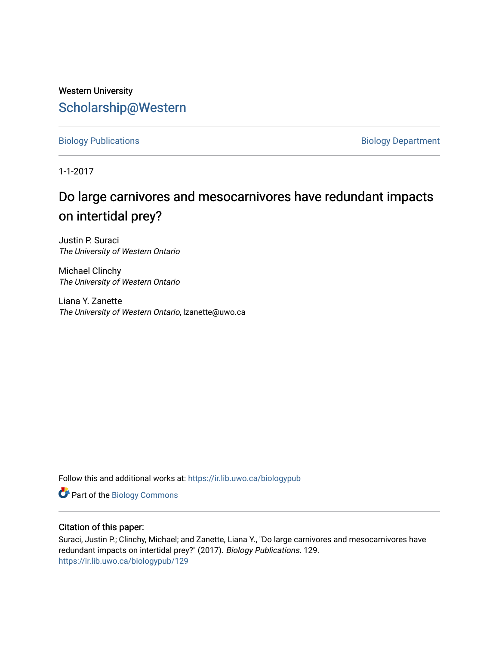# Western University [Scholarship@Western](https://ir.lib.uwo.ca/)

[Biology Publications](https://ir.lib.uwo.ca/biologypub) **Biology Department** 

1-1-2017

# Do large carnivores and mesocarnivores have redundant impacts on intertidal prey?

Justin P. Suraci The University of Western Ontario

Michael Clinchy The University of Western Ontario

Liana Y. Zanette The University of Western Ontario, lzanette@uwo.ca

Follow this and additional works at: [https://ir.lib.uwo.ca/biologypub](https://ir.lib.uwo.ca/biologypub?utm_source=ir.lib.uwo.ca%2Fbiologypub%2F129&utm_medium=PDF&utm_campaign=PDFCoverPages)

Part of the [Biology Commons](http://network.bepress.com/hgg/discipline/41?utm_source=ir.lib.uwo.ca%2Fbiologypub%2F129&utm_medium=PDF&utm_campaign=PDFCoverPages) 

# Citation of this paper:

Suraci, Justin P.; Clinchy, Michael; and Zanette, Liana Y., "Do large carnivores and mesocarnivores have redundant impacts on intertidal prey?" (2017). Biology Publications. 129. [https://ir.lib.uwo.ca/biologypub/129](https://ir.lib.uwo.ca/biologypub/129?utm_source=ir.lib.uwo.ca%2Fbiologypub%2F129&utm_medium=PDF&utm_campaign=PDFCoverPages)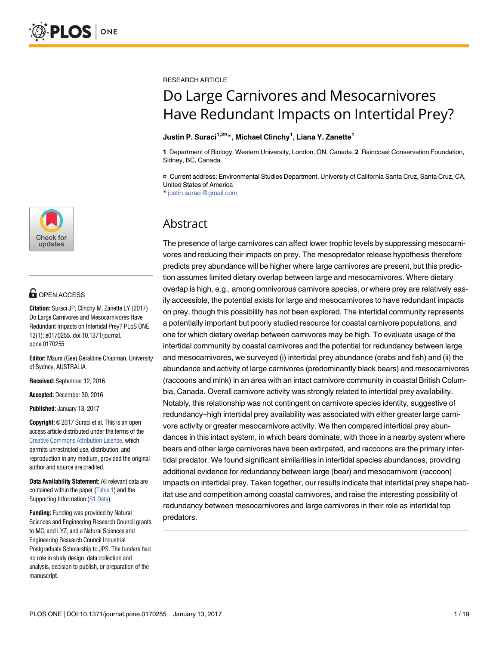

# **OPEN ACCESS**

**Citation:** Suraci JP, Clinchy M, Zanette LY (2017) Do Large Carnivores and Mesocarnivores Have Redundant Impacts on Intertidal Prey? PLoS ONE 12(1): e0170255. doi:10.1371/journal. pone.0170255

**Editor:** Maura (Gee) Geraldine Chapman, University of Sydney, AUSTRALIA

**Received:** September 12, 2016

**Accepted:** December 30, 2016

**Published:** January 13, 2017

**Copyright:** © 2017 Suraci et al. This is an open access article distributed under the terms of the Creative Commons [Attribution](http://creativecommons.org/licenses/by/4.0/) License, which permits unrestricted use, distribution, and reproduction in any medium, provided the original author and source are credited.

**Data Availability Statement:** All relevant data are contained within the paper [\(Table](#page-5-0) 1) and the Supporting Information (S1 [Data\)](#page-15-0).

**Funding:** Funding was provided by Natural Sciences and Engineering Research Council grants to MC, and LYZ; and a Natural Sciences and Engineering Research Council Industrial Postgraduate Scholarship to JPS. The funders had no role in study design, data collection and analysis, decision to publish, or preparation of the manuscript.

<span id="page-1-0"></span>RESEARCH ARTICLE

# Do Large Carnivores and Mesocarnivores Have Redundant Impacts on Intertidal Prey?

# ${\sf J}$ ustin P. Suraci<sup>1,2¤</sup> \*, Michael Clinchy<sup>1</sup>, Liana Y. Zanette<sup>1</sup>

**1** Department of Biology, Western University, London, ON, Canada, **2** Raincoast Conservation Foundation, Sidney, BC, Canada

¤ Current address: Environmental Studies Department, University of California Santa Cruz, Santa Cruz, CA, United States of America

\* justin.suraci@gmail.com

# Abstract

The presence of large carnivores can affect lower trophic levels by suppressing mesocarnivores and reducing their impacts on prey. The mesopredator release hypothesis therefore predicts prey abundance will be higher where large carnivores are present, but this prediction assumes limited dietary overlap between large and mesocarnivores. Where dietary overlap is high, e.g., among omnivorous carnivore species, or where prey are relatively easily accessible, the potential exists for large and mesocarnivores to have redundant impacts on prey, though this possibility has not been explored. The intertidal community represents a potentially important but poorly studied resource for coastal carnivore populations, and one for which dietary overlap between carnivores may be high. To evaluate usage of the intertidal community by coastal carnivores and the potential for redundancy between large and mesocarnivores, we surveyed (i) intertidal prey abundance (crabs and fish) and (ii) the abundance and activity of large carnivores (predominantly black bears) and mesocarnivores (raccoons and mink) in an area with an intact carnivore community in coastal British Columbia, Canada. Overall carnivore activity was strongly related to intertidal prey availability. Notably, this relationship was not contingent on carnivore species identity, suggestive of redundancy–high intertidal prey availability was associated with either greater large carnivore activity or greater mesocarnivore activity. We then compared intertidal prey abundances in this intact system, in which bears dominate, with those in a nearby system where bears and other large carnivores have been extirpated, and raccoons are the primary intertidal predator. We found significant similarities in intertidal species abundances, providing additional evidence for redundancy between large (bear) and mesocarnivore (raccoon) impacts on intertidal prey. Taken together, our results indicate that intertidal prey shape habitat use and competition among coastal carnivores, and raise the interesting possibility of redundancy between mesocarnivores and large carnivores in their role as intertidal top predators.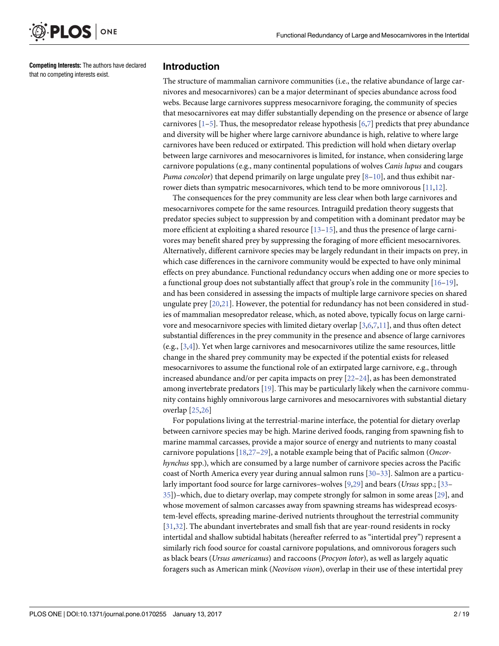<span id="page-2-0"></span>

**Competing Interests:** The authors have declared that no competing interests exist.

#### **Introduction**

The structure of mammalian carnivore communities (i.e., the relative abundance of large carnivores and mesocarnivores) can be a major determinant of species abundance across food webs. Because large carnivores suppress mesocarnivore foraging, the community of species that mesocarnivores eat may differ substantially depending on the presence or absence of large carnivores  $[1–5]$ . Thus, the mesopredator release hypothesis  $[6,7]$  $[6,7]$  predicts that prey abundance and diversity will be higher where large carnivore abundance is high, relative to where large carnivores have been reduced or extirpated. This prediction will hold when dietary overlap between large carnivores and mesocarnivores is limited, for instance, when considering large carnivore populations (e.g., many continental populations of wolves *Canis lupus* and cougars *Puma concolor*) that depend primarily on large ungulate prey [[8](#page-17-0)–[10](#page-17-0)], and thus exhibit narrower diets than sympatric mesocarnivores, which tend to be more omnivorous [\[11,12](#page-17-0)].

The consequences for the prey community are less clear when both large carnivores and mesocarnivores compete for the same resources. Intraguild predation theory suggests that predator species subject to suppression by and competition with a dominant predator may be more efficient at exploiting a shared resource  $[13-15]$ , and thus the presence of large carnivores may benefit shared prey by suppressing the foraging of more efficient mesocarnivores. Alternatively, different carnivore species may be largely redundant in their impacts on prey, in which case differences in the carnivore community would be expected to have only minimal effects on prey abundance. Functional redundancy occurs when adding one or more species to a functional group does not substantially affect that group's role in the community [\[16–19](#page-17-0)], and has been considered in assessing the impacts of multiple large carnivore species on shared ungulate prey  $[20,21]$  $[20,21]$ . However, the potential for redundancy has not been considered in studies of mammalian mesopredator release, which, as noted above, typically focus on large carnivore and mesocarnivore species with limited dietary overlap [\[3,6,7,11\]](#page-17-0), and thus often detect substantial differences in the prey community in the presence and absence of large carnivores (e.g., [[3](#page-17-0),[4](#page-17-0)]). Yet when large carnivores and mesocarnivores utilize the same resources, little change in the shared prey community may be expected if the potential exists for released mesocarnivores to assume the functional role of an extirpated large carnivore, e.g., through increased abundance and/or per capita impacts on prey [\[22–](#page-17-0)[24](#page-18-0)], as has been demonstrated among invertebrate predators [[19](#page-17-0)]. This may be particularly likely when the carnivore community contains highly omnivorous large carnivores and mesocarnivores with substantial dietary overlap [\[25,26](#page-18-0)]

For populations living at the terrestrial-marine interface, the potential for dietary overlap between carnivore species may be high. Marine derived foods, ranging from spawning fish to marine mammal carcasses, provide a major source of energy and nutrients to many coastal carnivore populations [\[18,](#page-17-0)[27](#page-18-0)–[29\]](#page-18-0), a notable example being that of Pacific salmon (*Oncorhynchus* spp.), which are consumed by a large number of carnivore species across the Pacific coast of North America every year during annual salmon runs [\[30–33](#page-18-0)]. Salmon are a particularly important food source for large carnivores–wolves [\[9,](#page-17-0)[29\]](#page-18-0) and bears (*Ursus* spp.; [[33](#page-18-0)– [35\]](#page-18-0))–which, due to dietary overlap, may compete strongly for salmon in some areas [\[29\]](#page-18-0), and whose movement of salmon carcasses away from spawning streams has widespread ecosystem-level effects, spreading marine-derived nutrients throughout the terrestrial community [\[31,32\]](#page-18-0). The abundant invertebrates and small fish that are year-round residents in rocky intertidal and shallow subtidal habitats (hereafter referred to as "intertidal prey") represent a similarly rich food source for coastal carnivore populations, and omnivorous foragers such as black bears (*Ursus americanus*) and raccoons (*Procyon lotor*), as well as largely aquatic foragers such as American mink (*Neovison vison*), overlap in their use of these intertidal prey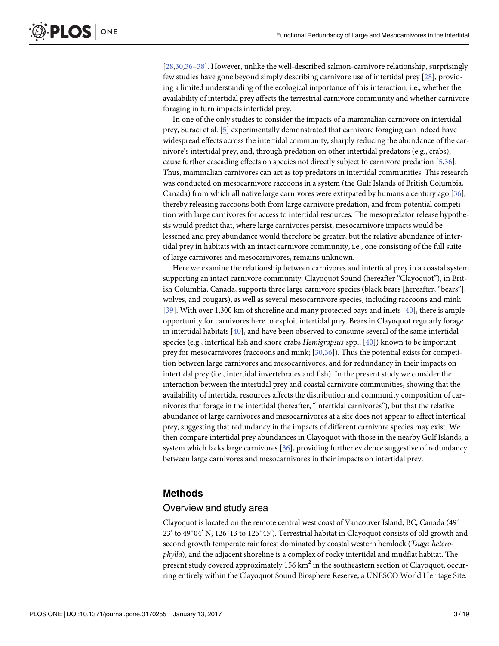<span id="page-3-0"></span>[\[28,30,36](#page-18-0)–[38](#page-18-0)]. However, unlike the well-described salmon-carnivore relationship, surprisingly few studies have gone beyond simply describing carnivore use of intertidal prey [[28](#page-18-0)], providing a limited understanding of the ecological importance of this interaction, i.e., whether the availability of intertidal prey affects the terrestrial carnivore community and whether carnivore foraging in turn impacts intertidal prey.

In one of the only studies to consider the impacts of a mammalian carnivore on intertidal prey, Suraci et al. [\[5](#page-17-0)] experimentally demonstrated that carnivore foraging can indeed have widespread effects across the intertidal community, sharply reducing the abundance of the carnivore's intertidal prey, and, through predation on other intertidal predators (e.g., crabs), cause further cascading effects on species not directly subject to carnivore predation [\[5](#page-17-0)[,36\]](#page-18-0). Thus, mammalian carnivores can act as top predators in intertidal communities. This research was conducted on mesocarnivore raccoons in a system (the Gulf Islands of British Columbia, Canada) from which all native large carnivores were extirpated by humans a century ago [[36](#page-18-0)], thereby releasing raccoons both from large carnivore predation, and from potential competition with large carnivores for access to intertidal resources. The mesopredator release hypothesis would predict that, where large carnivores persist, mesocarnivore impacts would be lessened and prey abundance would therefore be greater, but the relative abundance of intertidal prey in habitats with an intact carnivore community, i.e., one consisting of the full suite of large carnivores and mesocarnivores, remains unknown.

Here we examine the relationship between carnivores and intertidal prey in a coastal system supporting an intact carnivore community. Clayoquot Sound (hereafter "Clayoquot"), in British Columbia, Canada, supports three large carnivore species (black bears [hereafter, "bears"], wolves, and cougars), as well as several mesocarnivore species, including raccoons and mink [\[39\]](#page-18-0). With over 1,300 km of shoreline and many protected bays and inlets [[40](#page-18-0)], there is ample opportunity for carnivores here to exploit intertidal prey. Bears in Clayoquot regularly forage in intertidal habitats [\[40\]](#page-18-0), and have been observed to consume several of the same intertidal species (e.g., intertidal fish and shore crabs *Hemigrapsus* spp.; [[40](#page-18-0)]) known to be important prey for mesocarnivores (raccoons and mink; [\[30,36\]](#page-18-0)). Thus the potential exists for competition between large carnivores and mesocarnivores, and for redundancy in their impacts on intertidal prey (i.e., intertidal invertebrates and fish). In the present study we consider the interaction between the intertidal prey and coastal carnivore communities, showing that the availability of intertidal resources affects the distribution and community composition of carnivores that forage in the intertidal (hereafter, "intertidal carnivores"), but that the relative abundance of large carnivores and mesocarnivores at a site does not appear to affect intertidal prey, suggesting that redundancy in the impacts of different carnivore species may exist. We then compare intertidal prey abundances in Clayoquot with those in the nearby Gulf Islands, a system which lacks large carnivores [[36\]](#page-18-0), providing further evidence suggestive of redundancy between large carnivores and mesocarnivores in their impacts on intertidal prey.

# **Methods**

#### Overview and study area

Clayoquot is located on the remote central west coast of Vancouver Island, BC, Canada (49˚ 23' to 49°04' N, 126°13 to 125°45'). Terrestrial habitat in Clayoquot consists of old growth and second growth temperate rainforest dominated by coastal western hemlock (*Tsuga heterophylla*), and the adjacent shoreline is a complex of rocky intertidal and mudflat habitat. The present study covered approximately 156  $km<sup>2</sup>$  in the southeastern section of Clayoquot, occurring entirely within the Clayoquot Sound Biosphere Reserve, a UNESCO World Heritage Site.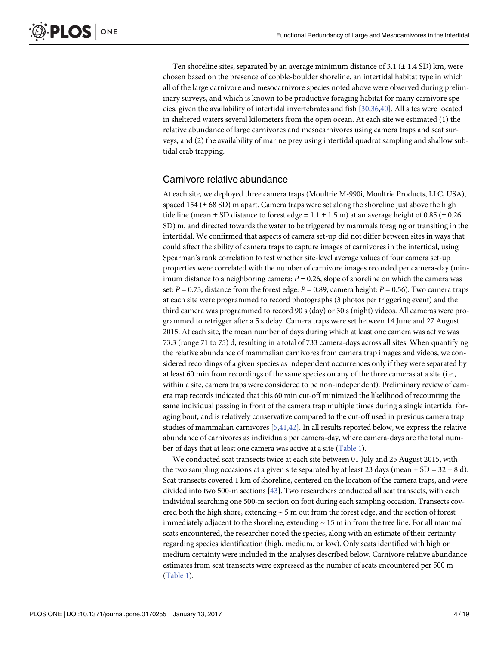<span id="page-4-0"></span>Ten shoreline sites, separated by an average minimum distance of 3.1 ( $\pm$  1.4 SD) km, were chosen based on the presence of cobble-boulder shoreline, an intertidal habitat type in which all of the large carnivore and mesocarnivore species noted above were observed during preliminary surveys, and which is known to be productive foraging habitat for many carnivore species, given the availability of intertidal invertebrates and fish [[30,36,40\]](#page-18-0). All sites were located in sheltered waters several kilometers from the open ocean. At each site we estimated (1) the relative abundance of large carnivores and mesocarnivores using camera traps and scat surveys, and (2) the availability of marine prey using intertidal quadrat sampling and shallow subtidal crab trapping.

# Carnivore relative abundance

At each site, we deployed three camera traps (Moultrie M-990i, Moultrie Products, LLC, USA), spaced 154  $(\pm 68 \text{ SD})$  m apart. Camera traps were set along the shoreline just above the high tide line (mean  $\pm$  SD distance to forest edge = 1.1  $\pm$  1.5 m) at an average height of 0.85 ( $\pm$  0.26 SD) m, and directed towards the water to be triggered by mammals foraging or transiting in the intertidal. We confirmed that aspects of camera set-up did not differ between sites in ways that could affect the ability of camera traps to capture images of carnivores in the intertidal, using Spearman's rank correlation to test whether site-level average values of four camera set-up properties were correlated with the number of carnivore images recorded per camera-day (minimum distance to a neighboring camera: *P* = 0.26, slope of shoreline on which the camera was set:  $P = 0.73$ , distance from the forest edge:  $P = 0.89$ , camera height:  $P = 0.56$ ). Two camera traps at each site were programmed to record photographs (3 photos per triggering event) and the third camera was programmed to record 90 s (day) or 30 s (night) videos. All cameras were programmed to retrigger after a 5 s delay. Camera traps were set between 14 June and 27 August 2015. At each site, the mean number of days during which at least one camera was active was 73.3 (range 71 to 75) d, resulting in a total of 733 camera-days across all sites. When quantifying the relative abundance of mammalian carnivores from camera trap images and videos, we considered recordings of a given species as independent occurrences only if they were separated by at least 60 min from recordings of the same species on any of the three cameras at a site (i.e., within a site, camera traps were considered to be non-independent). Preliminary review of camera trap records indicated that this 60 min cut-off minimized the likelihood of recounting the same individual passing in front of the camera trap multiple times during a single intertidal foraging bout, and is relatively conservative compared to the cut-off used in previous camera trap studies of mammalian carnivores [[5,](#page-17-0)[41,42\]](#page-18-0). In all results reported below, we express the relative abundance of carnivores as individuals per camera-day, where camera-days are the total number of days that at least one camera was active at a site [\(Table](#page-5-0) 1).

We conducted scat transects twice at each site between 01 July and 25 August 2015, with the two sampling occasions at a given site separated by at least 23 days (mean  $\pm$  SD = 32  $\pm$  8 d). Scat transects covered 1 km of shoreline, centered on the location of the camera traps, and were divided into two 500-m sections [[43](#page-18-0)]. Two researchers conducted all scat transects, with each individual searching one 500-m section on foot during each sampling occasion. Transects covered both the high shore, extending  $\sim$  5 m out from the forest edge, and the section of forest immediately adjacent to the shoreline, extending  $\sim$  15 m in from the tree line. For all mammal scats encountered, the researcher noted the species, along with an estimate of their certainty regarding species identification (high, medium, or low). Only scats identified with high or medium certainty were included in the analyses described below. Carnivore relative abundance estimates from scat transects were expressed as the number of scats encountered per 500 m [\(Table](#page-5-0) 1).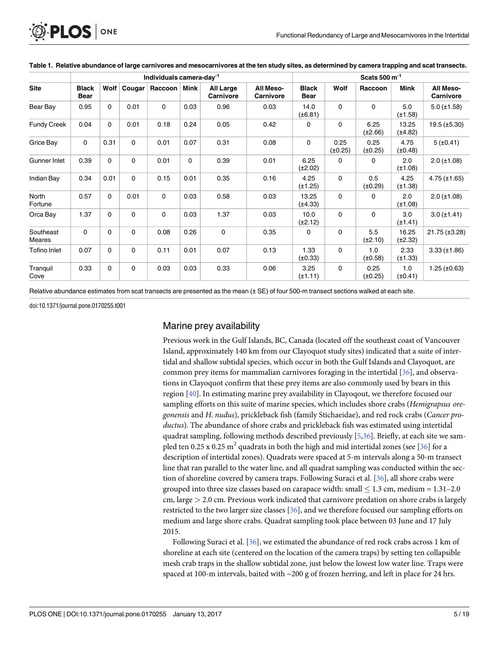<span id="page-5-0"></span>

| <b>Site</b>             | Individuals camera-day <sup>-1</sup> |             |             |                |             |                               |                                      | Scats 500 $m^{-1}$    |                      |                      |                       |                               |
|-------------------------|--------------------------------------|-------------|-------------|----------------|-------------|-------------------------------|--------------------------------------|-----------------------|----------------------|----------------------|-----------------------|-------------------------------|
|                         | <b>Black</b><br><b>Bear</b>          | Wolf        | Cougar      | Raccoon   Mink |             | <b>All Large</b><br>Carnivore | <b>All Meso-</b><br><b>Carnivore</b> | <b>Black</b><br>Bear  | Wolf                 | Raccoon              | <b>Mink</b>           | <b>All Meso-</b><br>Carnivore |
| Bear Bay                | 0.95                                 | $\mathbf 0$ | 0.01        | $\mathbf 0$    | 0.03        | 0.96                          | 0.03                                 | 14.0<br>$(\pm 6.81)$  | $\mathbf{0}$         | $\mathbf 0$          | 5.0<br>$(\pm 1.58)$   | $5.0 (\pm 1.58)$              |
| <b>Fundy Creek</b>      | 0.04                                 | $\Omega$    | 0.01        | 0.18           | 0.24        | 0.05                          | 0.42                                 | 0                     | $\Omega$             | 6.25<br>$(\pm 2.66)$ | 13.25<br>$(\pm 4.82)$ | $19.5 (\pm 5.30)$             |
| Grice Bay               | $\mathbf 0$                          | 0.31        | $\Omega$    | 0.01           | 0.07        | 0.31                          | 0.08                                 | $\mathbf 0$           | 0.25<br>$(\pm 0.25)$ | 0.25<br>$(\pm 0.25)$ | 4.75<br>$(\pm 0.48)$  | 5(±0.41)                      |
| Gunner Inlet            | 0.39                                 | 0           | $\mathbf 0$ | 0.01           | $\mathbf 0$ | 0.39                          | 0.01                                 | 6.25<br>$(\pm 2.02)$  | 0                    | 0                    | 2.0<br>$(\pm 1.08)$   | $2.0 (\pm 1.08)$              |
| <b>Indian Bay</b>       | 0.34                                 | 0.01        | 0           | 0.15           | 0.01        | 0.35                          | 0.16                                 | 4.25<br>$(\pm 1.25)$  | $\Omega$             | 0.5<br>$(\pm 0.29)$  | 4.25<br>$(\pm 1.38)$  | $4.75 (\pm 1.65)$             |
| <b>North</b><br>Fortune | 0.57                                 | $\mathbf 0$ | 0.01        | $\mathbf 0$    | 0.03        | 0.58                          | 0.03                                 | 13.25<br>$(\pm 4.33)$ | $\Omega$             | 0                    | 2.0<br>$(\pm 1.08)$   | $2.0 (\pm 1.08)$              |
| Orca Bay                | 1.37                                 | $\Omega$    | $\Omega$    | $\Omega$       | 0.03        | 1.37                          | 0.03                                 | 10.0<br>$(\pm 2.12)$  | $\mathbf{0}$         | $\mathbf 0$          | 3.0<br>$(\pm 1.41)$   | $3.0 (\pm 1.41)$              |
| Southeast<br>Meares     | $\mathbf 0$                          | 0           | $\mathbf 0$ | 0.08           | 0.26        | $\mathbf 0$                   | 0.35                                 | $\mathbf 0$           | $\Omega$             | 5.5<br>$(\pm 2.10)$  | 16.25<br>$(\pm 2.32)$ | 21.75 (±3.28)                 |
| Tofino Inlet            | 0.07                                 | 0           | $\mathbf 0$ | 0.11           | 0.01        | 0.07                          | 0.13                                 | 1.33<br>$(\pm 0.33)$  | 0                    | 1.0<br>$(\pm 0.58)$  | 2.33<br>$(\pm 1.33)$  | $3.33 \, (\pm 1.86)$          |
| Tranquil<br>Cove        | 0.33                                 | 0           | $\mathbf 0$ | 0.03           | 0.03        | 0.33                          | 0.06                                 | 3.25<br>$(\pm 1.11)$  | $\mathbf{0}$         | 0.25<br>$(\pm 0.25)$ | 1.0<br>$(\pm 0.41)$   | $1.25 (\pm 0.63)$             |

#### [Table](#page-1-0) 1. Relative abundance of large carnivores and mesocarnivores at the ten study sites, as determined by camera trapping and scat transects.

Relative abundance estimates from scat transects are presented as the mean (± SE) of four 500-m transect sections walked at each site.

doi:10.1371/journal.pone.0170255.t001

### Marine prey availability

Previous work in the Gulf Islands, BC, Canada (located off the southeast coast of Vancouver Island, approximately 140 km from our Clayoquot study sites) indicated that a suite of intertidal and shallow subtidal species, which occur in both the Gulf Islands and Clayoquot, are common prey items for mammalian carnivores foraging in the intertidal [\[36\]](#page-18-0), and observations in Clayoquot confirm that these prey items are also commonly used by bears in this region [\[40\]](#page-18-0). In estimating marine prey availability in Clayoqout, we therefore focused our sampling efforts on this suite of marine species, which includes shore crabs (*Hemigrapsus oregonensis* and *H*. *nudus*), prickleback fish (family Stichaeidae), and red rock crabs (*Cancer productus*). The abundance of shore crabs and prickleback fish was estimated using intertidal quadrat sampling, following methods described previously [\[5](#page-17-0)[,36\]](#page-18-0). Briefly, at each site we sam-pled ten 0.25 x 0.25 m<sup>2</sup> quadrats in both the high and mid intertidal zones (see [[36\]](#page-18-0) for a description of intertidal zones). Quadrats were spaced at 5-m intervals along a 50-m transect line that ran parallel to the water line, and all quadrat sampling was conducted within the section of shoreline covered by camera traps. Following Suraci et al. [[36](#page-18-0)], all shore crabs were grouped into three size classes based on carapace width: small  $\leq 1.3$  cm, medium =  $1.31-2.0$ cm, large *>* 2.0 cm. Previous work indicated that carnivore predation on shore crabs is largely restricted to the two larger size classes [[36](#page-18-0)], and we therefore focused our sampling efforts on medium and large shore crabs. Quadrat sampling took place between 03 June and 17 July 2015.

Following Suraci et al. [\[36\]](#page-18-0), we estimated the abundance of red rock crabs across 1 km of shoreline at each site (centered on the location of the camera traps) by setting ten collapsible mesh crab traps in the shallow subtidal zone, just below the lowest low water line. Traps were spaced at 100-m intervals, baited with ~200 g of frozen herring, and left in place for 24 hrs.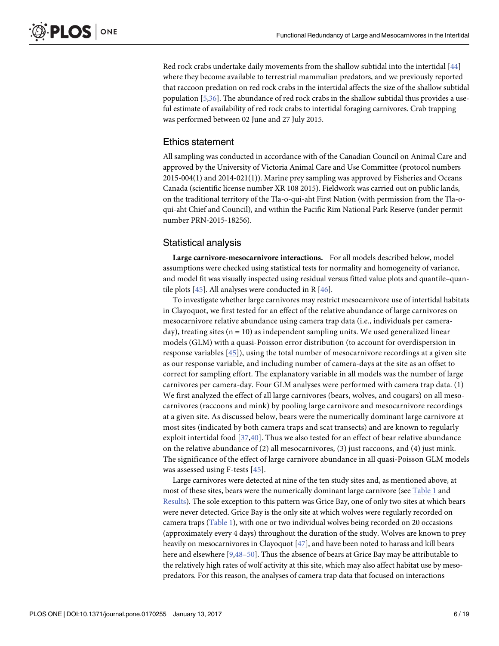<span id="page-6-0"></span>Red rock crabs undertake daily movements from the shallow subtidal into the intertidal [[44](#page-18-0)] where they become available to terrestrial mammalian predators, and we previously reported that raccoon predation on red rock crabs in the intertidal affects the size of the shallow subtidal population [\[5](#page-17-0)[,36\]](#page-18-0). The abundance of red rock crabs in the shallow subtidal thus provides a useful estimate of availability of red rock crabs to intertidal foraging carnivores. Crab trapping was performed between 02 June and 27 July 2015.

#### Ethics statement

All sampling was conducted in accordance with of the Canadian Council on Animal Care and approved by the University of Victoria Animal Care and Use Committee (protocol numbers 2015-004(1) and 2014-021(1)). Marine prey sampling was approved by Fisheries and Oceans Canada (scientific license number XR 108 2015). Fieldwork was carried out on public lands, on the traditional territory of the Tla-o-qui-aht First Nation (with permission from the Tla-oqui-aht Chief and Council), and within the Pacific Rim National Park Reserve (under permit number PRN-2015-18256).

#### Statistical analysis

**Large carnivore-mesocarnivore interactions.** For all models described below, model assumptions were checked using statistical tests for normality and homogeneity of variance, and model fit was visually inspected using residual versus fitted value plots and quantile–quantile plots  $[45]$ . All analyses were conducted in R  $[46]$ .

To investigate whether large carnivores may restrict mesocarnivore use of intertidal habitats in Clayoquot, we first tested for an effect of the relative abundance of large carnivores on mesocarnivore relative abundance using camera trap data (i.e., individuals per cameraday), treating sites  $(n = 10)$  as independent sampling units. We used generalized linear models (GLM) with a quasi-Poisson error distribution (to account for overdispersion in response variables [\[45](#page-18-0)]), using the total number of mesocarnivore recordings at a given site as our response variable, and including number of camera-days at the site as an offset to correct for sampling effort. The explanatory variable in all models was the number of large carnivores per camera-day. Four GLM analyses were performed with camera trap data. (1) We first analyzed the effect of all large carnivores (bears, wolves, and cougars) on all mesocarnivores (raccoons and mink) by pooling large carnivore and mesocarnivore recordings at a given site. As discussed below, bears were the numerically dominant large carnivore at most sites (indicated by both camera traps and scat transects) and are known to regularly exploit intertidal food [\[37](#page-18-0),[40](#page-18-0)]. Thus we also tested for an effect of bear relative abundance on the relative abundance of (2) all mesocarnivores, (3) just raccoons, and (4) just mink. The significance of the effect of large carnivore abundance in all quasi-Poisson GLM models was assessed using F-tests [[45\]](#page-18-0).

Large carnivores were detected at nine of the ten study sites and, as mentioned above, at most of these sites, bears were the numerically dominant large carnivore (see [Table](#page-5-0) 1 and [Results](#page-9-0)). The sole exception to this pattern was Grice Bay, one of only two sites at which bears were never detected. Grice Bay is the only site at which wolves were regularly recorded on camera traps ([Table](#page-5-0) 1), with one or two individual wolves being recorded on 20 occasions (approximately every 4 days) throughout the duration of the study. Wolves are known to prey heavily on mesocarnivores in Clayoquot [\[47\]](#page-18-0), and have been noted to harass and kill bears here and elsewhere [\[9](#page-17-0)[,48](#page-18-0)[–50\]](#page-19-0). Thus the absence of bears at Grice Bay may be attributable to the relatively high rates of wolf activity at this site, which may also affect habitat use by mesopredators. For this reason, the analyses of camera trap data that focused on interactions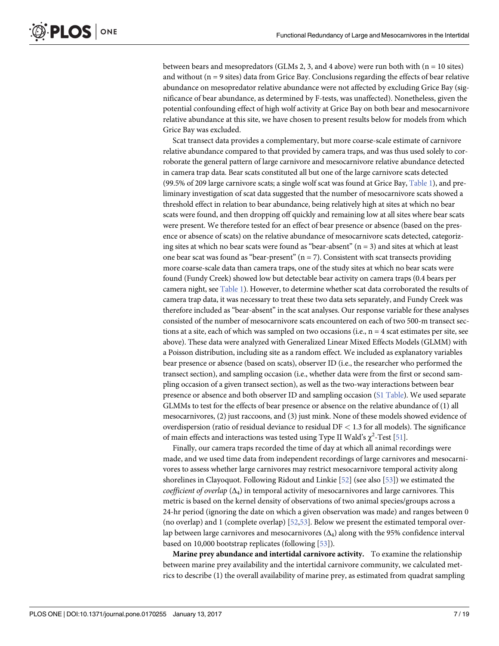<span id="page-7-0"></span>between bears and mesopredators (GLMs 2, 3, and 4 above) were run both with  $(n = 10$  sites) and without ( $n = 9$  sites) data from Grice Bay. Conclusions regarding the effects of bear relative abundance on mesopredator relative abundance were not affected by excluding Grice Bay (significance of bear abundance, as determined by F-tests, was unaffected). Nonetheless, given the potential confounding effect of high wolf activity at Grice Bay on both bear and mesocarnivore relative abundance at this site, we have chosen to present results below for models from which Grice Bay was excluded.

Scat transect data provides a complementary, but more coarse-scale estimate of carnivore relative abundance compared to that provided by camera traps, and was thus used solely to corroborate the general pattern of large carnivore and mesocarnivore relative abundance detected in camera trap data. Bear scats constituted all but one of the large carnivore scats detected (99.5% of 209 large carnivore scats; a single wolf scat was found at Grice Bay, [Table](#page-5-0) 1), and preliminary investigation of scat data suggested that the number of mesocarnivore scats showed a threshold effect in relation to bear abundance, being relatively high at sites at which no bear scats were found, and then dropping off quickly and remaining low at all sites where bear scats were present. We therefore tested for an effect of bear presence or absence (based on the presence or absence of scats) on the relative abundance of mesocarnivore scats detected, categorizing sites at which no bear scats were found as "bear-absent"  $(n = 3)$  and sites at which at least one bear scat was found as "bear-present" ( $n = 7$ ). Consistent with scat transects providing more coarse-scale data than camera traps, one of the study sites at which no bear scats were found (Fundy Creek) showed low but detectable bear activity on camera traps (0.4 bears per camera night, see [Table](#page-5-0) 1). However, to determine whether scat data corroborated the results of camera trap data, it was necessary to treat these two data sets separately, and Fundy Creek was therefore included as "bear-absent" in the scat analyses. Our response variable for these analyses consisted of the number of mesocarnivore scats encountered on each of two 500-m transect sections at a site, each of which was sampled on two occasions (i.e.,  $n = 4$  scat estimates per site, see above). These data were analyzed with Generalized Linear Mixed Effects Models (GLMM) with a Poisson distribution, including site as a random effect. We included as explanatory variables bear presence or absence (based on scats), observer ID (i.e., the researcher who performed the transect section), and sampling occasion (i.e., whether data were from the first or second sampling occasion of a given transect section), as well as the two-way interactions between bear presence or absence and both observer ID and sampling occasion (S1 [Table](#page-16-0)). We used separate GLMMs to test for the effects of bear presence or absence on the relative abundance of (1) all mesocarnivores, (2) just raccoons, and (3) just mink. None of these models showed evidence of overdispersion (ratio of residual deviance to residual DF *<* 1.3 for all models). The significance of main effects and interactions was tested using Type II Wald's  $\chi^2$ -Test [[51\]](#page-19-0).

Finally, our camera traps recorded the time of day at which all animal recordings were made, and we used time data from independent recordings of large carnivores and mesocarnivores to assess whether large carnivores may restrict mesocarnivore temporal activity along shorelines in Clayoquot. Following Ridout and Linkie [\[52\]](#page-19-0) (see also [[53](#page-19-0)]) we estimated the *coefficient of overlap*  $(\Delta_4)$  in temporal activity of mesocarnivores and large carnivores. This metric is based on the kernel density of observations of two animal species/groups across a 24-hr period (ignoring the date on which a given observation was made) and ranges between 0 (no overlap) and 1 (complete overlap) [\[52,53\]](#page-19-0). Below we present the estimated temporal overlap between large carnivores and mesocarnivores  $(\Delta_4)$  along with the 95% confidence interval based on 10,000 bootstrap replicates (following [\[53\]](#page-19-0)).

**Marine prey abundance and intertidal carnivore activity.** To examine the relationship between marine prey availability and the intertidal carnivore community, we calculated metrics to describe (1) the overall availability of marine prey, as estimated from quadrat sampling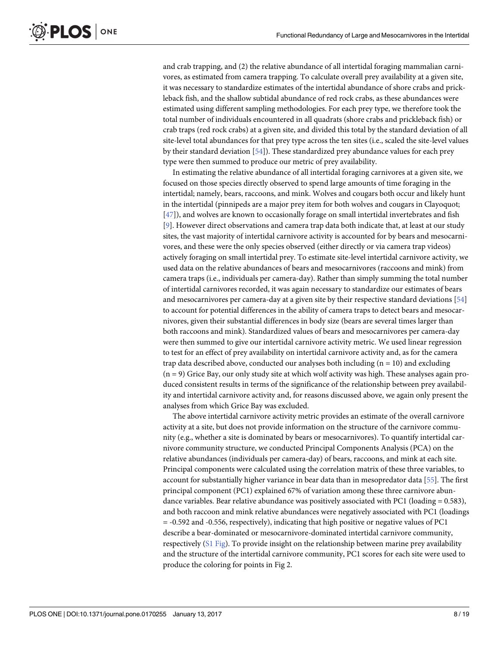<span id="page-8-0"></span>and crab trapping, and (2) the relative abundance of all intertidal foraging mammalian carnivores, as estimated from camera trapping. To calculate overall prey availability at a given site, it was necessary to standardize estimates of the intertidal abundance of shore crabs and prickleback fish, and the shallow subtidal abundance of red rock crabs, as these abundances were estimated using different sampling methodologies. For each prey type, we therefore took the total number of individuals encountered in all quadrats (shore crabs and prickleback fish) or crab traps (red rock crabs) at a given site, and divided this total by the standard deviation of all site-level total abundances for that prey type across the ten sites (i.e., scaled the site-level values by their standard deviation  $[54]$ ). These standardized prey abundance values for each prey type were then summed to produce our metric of prey availability.

In estimating the relative abundance of all intertidal foraging carnivores at a given site, we focused on those species directly observed to spend large amounts of time foraging in the intertidal; namely, bears, raccoons, and mink. Wolves and cougars both occur and likely hunt in the intertidal (pinnipeds are a major prey item for both wolves and cougars in Clayoquot; [\[47\]](#page-18-0)), and wolves are known to occasionally forage on small intertidal invertebrates and fish [\[9](#page-17-0)]. However direct observations and camera trap data both indicate that, at least at our study sites, the vast majority of intertidal carnivore activity is accounted for by bears and mesocarnivores, and these were the only species observed (either directly or via camera trap videos) actively foraging on small intertidal prey. To estimate site-level intertidal carnivore activity, we used data on the relative abundances of bears and mesocarnivores (raccoons and mink) from camera traps (i.e., individuals per camera-day). Rather than simply summing the total number of intertidal carnivores recorded, it was again necessary to standardize our estimates of bears and mesocarnivores per camera-day at a given site by their respective standard deviations [\[54\]](#page-19-0) to account for potential differences in the ability of camera traps to detect bears and mesocarnivores, given their substantial differences in body size (bears are several times larger than both raccoons and mink). Standardized values of bears and mesocarnivores per camera-day were then summed to give our intertidal carnivore activity metric. We used linear regression to test for an effect of prey availability on intertidal carnivore activity and, as for the camera trap data described above, conducted our analyses both including  $(n = 10)$  and excluding  $(n = 9)$  Grice Bay, our only study site at which wolf activity was high. These analyses again produced consistent results in terms of the significance of the relationship between prey availability and intertidal carnivore activity and, for reasons discussed above, we again only present the analyses from which Grice Bay was excluded.

The above intertidal carnivore activity metric provides an estimate of the overall carnivore activity at a site, but does not provide information on the structure of the carnivore community (e.g., whether a site is dominated by bears or mesocarnivores). To quantify intertidal carnivore community structure, we conducted Principal Components Analysis (PCA) on the relative abundances (individuals per camera-day) of bears, raccoons, and mink at each site. Principal components were calculated using the correlation matrix of these three variables, to account for substantially higher variance in bear data than in mesopredator data [[55](#page-19-0)]. The first principal component (PC1) explained 67% of variation among these three carnivore abundance variables. Bear relative abundance was positively associated with PC1 (loading = 0.583), and both raccoon and mink relative abundances were negatively associated with PC1 (loadings = -0.592 and -0.556, respectively), indicating that high positive or negative values of PC1 describe a bear-dominated or mesocarnivore-dominated intertidal carnivore community, respectively (S1 [Fig\)](#page-16-0). To provide insight on the relationship between marine prey availability and the structure of the intertidal carnivore community, PC1 scores for each site were used to produce the coloring for points in Fig 2.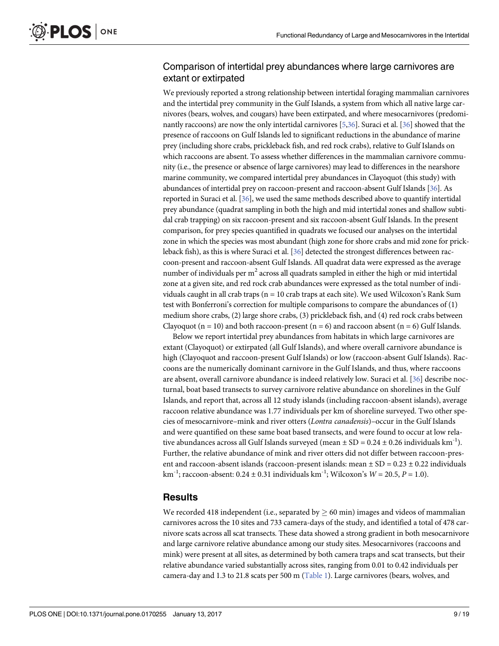# <span id="page-9-0"></span>Comparison of intertidal prey abundances where large carnivores are extant or extirpated

We previously reported a strong relationship between intertidal foraging mammalian carnivores and the intertidal prey community in the Gulf Islands, a system from which all native large carnivores (bears, wolves, and cougars) have been extirpated, and where mesocarnivores (predominantly raccoons) are now the only intertidal carnivores [[5](#page-17-0),[36\]](#page-18-0). Suraci et al. [\[36](#page-18-0)] showed that the presence of raccoons on Gulf Islands led to significant reductions in the abundance of marine prey (including shore crabs, prickleback fish, and red rock crabs), relative to Gulf Islands on which raccoons are absent. To assess whether differences in the mammalian carnivore community (i.e., the presence or absence of large carnivores) may lead to differences in the nearshore marine community, we compared intertidal prey abundances in Clayoquot (this study) with abundances of intertidal prey on raccoon-present and raccoon-absent Gulf Islands [[36\]](#page-18-0). As reported in Suraci et al. [\[36\]](#page-18-0), we used the same methods described above to quantify intertidal prey abundance (quadrat sampling in both the high and mid intertidal zones and shallow subtidal crab trapping) on six raccoon-present and six raccoon-absent Gulf Islands. In the present comparison, for prey species quantified in quadrats we focused our analyses on the intertidal zone in which the species was most abundant (high zone for shore crabs and mid zone for prickleback fish), as this is where Suraci et al. [\[36](#page-18-0)] detected the strongest differences between raccoon-present and raccoon-absent Gulf Islands. All quadrat data were expressed as the average number of individuals per  $m<sup>2</sup>$  across all quadrats sampled in either the high or mid intertidal zone at a given site, and red rock crab abundances were expressed as the total number of individuals caught in all crab traps (n = 10 crab traps at each site). We used Wilcoxon's Rank Sum test with Bonferroni's correction for multiple comparisons to compare the abundances of (1) medium shore crabs, (2) large shore crabs, (3) prickleback fish, and (4) red rock crabs between Clayoquot  $(n = 10)$  and both raccoon-present  $(n = 6)$  and raccoon absent  $(n = 6)$  Gulf Islands.

Below we report intertidal prey abundances from habitats in which large carnivores are extant (Clayoquot) or extirpated (all Gulf Islands), and where overall carnivore abundance is high (Clayoquot and raccoon-present Gulf Islands) or low (raccoon-absent Gulf Islands). Raccoons are the numerically dominant carnivore in the Gulf Islands, and thus, where raccoons are absent, overall carnivore abundance is indeed relatively low. Suraci et al. [\[36\]](#page-18-0) describe nocturnal, boat based transects to survey carnivore relative abundance on shorelines in the Gulf Islands, and report that, across all 12 study islands (including raccoon-absent islands), average raccoon relative abundance was 1.77 individuals per km of shoreline surveyed. Two other species of mesocarnivore–mink and river otters (*Lontra canadensis*)–occur in the Gulf Islands and were quantified on these same boat based transects, and were found to occur at low relative abundances across all Gulf Islands surveyed (mean  $\pm$  SD = 0.24  $\pm$  0.26 individuals km<sup>-1</sup>). Further, the relative abundance of mink and river otters did not differ between raccoon-present and raccoon-absent islands (raccoon-present islands: mean  $\pm$  SD = 0.23  $\pm$  0.22 individuals  $km^{-1}$ ; raccoon-absent:  $0.24 \pm 0.31$  individuals  $km^{-1}$ ; Wilcoxon's  $W = 20.5$ ,  $P = 1.0$ ).

# **Results**

We recorded 418 independent (i.e., separated by  $\geq 60$  min) images and videos of mammalian carnivores across the 10 sites and 733 camera-days of the study, and identified a total of 478 carnivore scats across all scat transects. These data showed a strong gradient in both mesocarnivore and large carnivore relative abundance among our study sites. Mesocarnivores (raccoons and mink) were present at all sites, as determined by both camera traps and scat transects, but their relative abundance varied substantially across sites, ranging from 0.01 to 0.42 individuals per camera-day and 1.3 to 21.8 scats per 500 m ([Table](#page-5-0) 1). Large carnivores (bears, wolves, and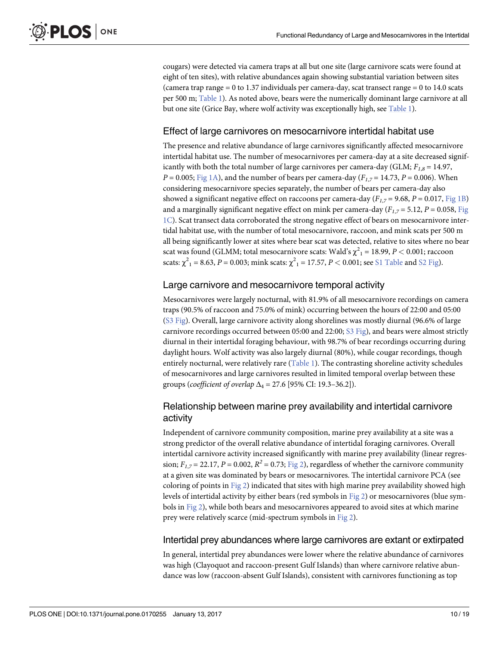<span id="page-10-0"></span>cougars) were detected via camera traps at all but one site (large carnivore scats were found at eight of ten sites), with relative abundances again showing substantial variation between sites (camera trap range = 0 to 1.37 individuals per camera-day, scat transect range = 0 to 14.0 scats per 500 m; [Table](#page-5-0) 1). As noted above, bears were the numerically dominant large carnivore at all but one site (Grice Bay, where wolf activity was exceptionally high, see [Table](#page-5-0) 1).

# Effect of large carnivores on mesocarnivore intertidal habitat use

The presence and relative abundance of large carnivores significantly affected mesocarnivore intertidal habitat use. The number of mesocarnivores per camera-day at a site decreased significantly with both the total number of large carnivores per camera-day (GLM;  $F_{1,8} = 14.97$ ,  $P = 0.005$ ; [Fig](#page-11-0) 1A), and the number of bears per camera-day ( $F_{1,7} = 14.73$ ,  $P = 0.006$ ). When considering mesocarnivore species separately, the number of bears per camera-day also showed a significant negative effect on raccoons per camera-day  $(F_{1,7} = 9.68, P = 0.017,$  [Fig](#page-11-0) 1B) and a marginally significant negative effect on mink per camera-day ( $F_{1,7}$  = 5.12,  $P$  = 0.058, [Fig](#page-11-0) [1C](#page-11-0)). Scat transect data corroborated the strong negative effect of bears on mesocarnivore intertidal habitat use, with the number of total mesocarnivore, raccoon, and mink scats per 500 m all being significantly lower at sites where bear scat was detected, relative to sites where no bear scat was found (GLMM; total mesocarnivore scats: Wald's  $\chi^2_{\phantom{2}1}$  = 18.99,  $P$  < 0.001; raccoon scats:  $\chi^2_{1}$  = 8.63, *P* = 0.003; mink scats:  $\chi^2_{1}$  = 17.57, *P* < 0.001; see <u>S1 [Table](#page-16-0)</u> and <u>S2 [Fig](#page-16-0)</u>).

# Large carnivore and mesocarnivore temporal activity

Mesocarnivores were largely nocturnal, with 81.9% of all mesocarnivore recordings on camera traps (90.5% of raccoon and 75.0% of mink) occurring between the hours of 22:00 and 05:00 (S3 [Fig\)](#page-16-0). Overall, large carnivore activity along shorelines was mostly diurnal (96.6% of large carnivore recordings occurred between 05:00 and 22:00; S3 [Fig](#page-16-0)), and bears were almost strictly diurnal in their intertidal foraging behaviour, with 98.7% of bear recordings occurring during daylight hours. Wolf activity was also largely diurnal (80%), while cougar recordings, though entirely nocturnal, were relatively rare [\(Table](#page-5-0) 1). The contrasting shoreline activity schedules of mesocarnivores and large carnivores resulted in limited temporal overlap between these groups (*coefficient of overlap*  $\Delta_4 = 27.6$  [95% CI: 19.3–36.2]).

# Relationship between marine prey availability and intertidal carnivore activity

Independent of carnivore community composition, marine prey availability at a site was a strong predictor of the overall relative abundance of intertidal foraging carnivores. Overall intertidal carnivore activity increased significantly with marine prey availability (linear regression;  $F_{1,7}$  = 22.17, *P* = 0.002,  $R^2$  = 0.73; [Fig](#page-12-0) 2), regardless of whether the carnivore community at a given site was dominated by bears or mesocarnivores. The intertidal carnivore PCA (see coloring of points in [Fig](#page-12-0) 2) indicated that sites with high marine prey availability showed high levels of intertidal activity by either bears (red symbols in [Fig](#page-12-0) 2) or mesocarnivores (blue symbols in [Fig](#page-12-0) 2), while both bears and mesocarnivores appeared to avoid sites at which marine prey were relatively scarce (mid-spectrum symbols in [Fig](#page-12-0) 2).

#### Intertidal prey abundances where large carnivores are extant or extirpated

In general, intertidal prey abundances were lower where the relative abundance of carnivores was high (Clayoquot and raccoon-present Gulf Islands) than where carnivore relative abundance was low (raccoon-absent Gulf Islands), consistent with carnivores functioning as top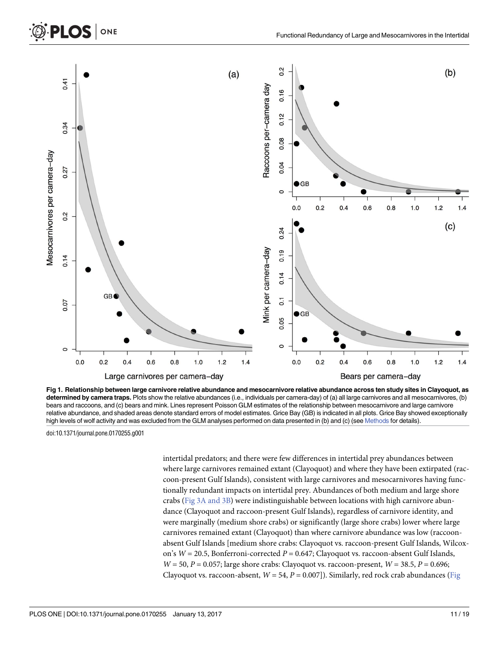<span id="page-11-0"></span>

[Fig](#page-10-0) 1. Relationship between large carnivore relative abundance and mesocarnivore relative abundance across ten study sites in Clayoquot, as **determined by camera traps.** Plots show the relative abundances (i.e., individuals per camera-day) of (a) all large carnivores and all mesocarnivores, (b) bears and raccoons, and (c) bears and mink. Lines represent Poisson GLM estimates of the relationship between mesocarnivore and large carnivore relative abundance, and shaded areas denote standard errors of model estimates. Grice Bay (GB) is indicated in all plots. Grice Bay showed exceptionally high levels of wolf activity and was excluded from the GLM analyses performed on data presented in (b) and (c) (see [Methods](#page-3-0) for details).

doi:10.1371/journal.pone.0170255.g001

intertidal predators; and there were few differences in intertidal prey abundances between where large carnivores remained extant (Clayoquot) and where they have been extirpated (raccoon-present Gulf Islands), consistent with large carnivores and mesocarnivores having functionally redundant impacts on intertidal prey. Abundances of both medium and large shore crabs (Fig 3A [and](#page-13-0) 3B) were indistinguishable between locations with high carnivore abundance (Clayoquot and raccoon-present Gulf Islands), regardless of carnivore identity, and were marginally (medium shore crabs) or significantly (large shore crabs) lower where large carnivores remained extant (Clayoquot) than where carnivore abundance was low (raccoonabsent Gulf Islands [medium shore crabs: Clayoquot vs. raccoon-present Gulf Islands, Wilcoxon's *W* = 20.5, Bonferroni-corrected *P* = 0.647; Clayoquot vs. raccoon-absent Gulf Islands,  $W = 50$ ,  $P = 0.057$ ; large shore crabs: Clayoquot vs. raccoon-present,  $W = 38.5$ ,  $P = 0.696$ ; Clayoquot vs. raccoon-absent,  $W = 54$ ,  $P = 0.007$ ]). Similarly, red rock crab abundances [\(Fig](#page-13-0).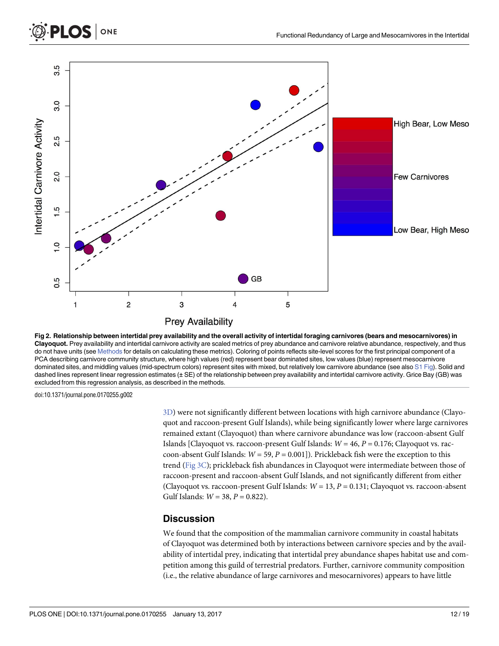<span id="page-12-0"></span>



doi:10.1371/journal.pone.0170255.g002

[3D](#page-13-0)) were not significantly different between locations with high carnivore abundance (Clayoquot and raccoon-present Gulf Islands), while being significantly lower where large carnivores remained extant (Clayoquot) than where carnivore abundance was low (raccoon-absent Gulf Islands [Clayoquot vs. raccoon-present Gulf Islands: *W* = 46, *P =* 0.176; Clayoquot vs. raccoon-absent Gulf Islands:  $W = 59$ ,  $P = 0.001$ ]. Prickleback fish were the exception to this trend [\(Fig](#page-13-0) 3C); prickleback fish abundances in Clayoquot were intermediate between those of raccoon-present and raccoon-absent Gulf Islands, and not significantly different from either (Clayoquot vs. raccoon-present Gulf Islands: *W* = 13, *P =* 0.131; Clayoquot vs. raccoon-absent Gulf Islands:  $W = 38, P = 0.822$ .

# **Discussion**

We found that the composition of the mammalian carnivore community in coastal habitats of Clayoquot was determined both by interactions between carnivore species and by the availability of intertidal prey, indicating that intertidal prey abundance shapes habitat use and competition among this guild of terrestrial predators. Further, carnivore community composition (i.e., the relative abundance of large carnivores and mesocarnivores) appears to have little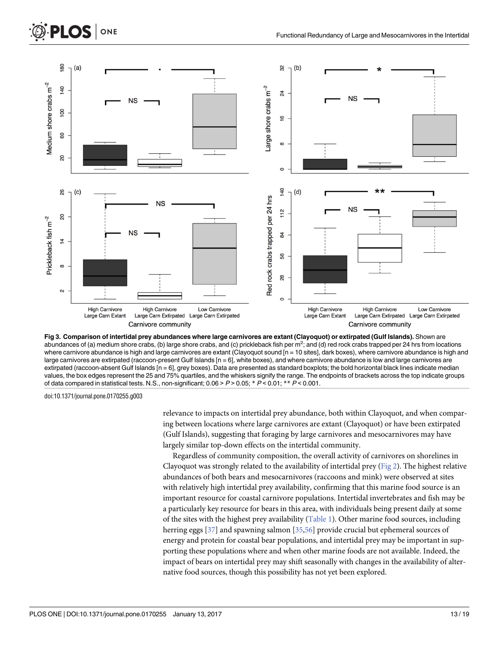<span id="page-13-0"></span>

[Fig](#page-11-0) 3. Comparison of intertidal prey abundances where large carnivores are extant (Clayoquot) or extirpated (Gulf Islands). Shown are abundances of (a) medium shore crabs, (b) large shore crabs, and (c) prickleback fish per m<sup>2</sup>; and (d) red rock crabs trapped per 24 hrs from locations where carnivore abundance is high and large carnivores are extant (Clayoquot sound [n = 10 sites], dark boxes), where carnivore abundance is high and large carnivores are extirpated (raccoon-present Gulf Islands [n = 6], white boxes), and where carnivore abundance is low and large carnivores are extirpated (raccoon-absent Gulf Islands  $[n = 6]$ , grey boxes). Data are presented as standard boxplots; the bold horizontal black lines indicate median values, the box edges represent the 25 and 75% quartiles, and the whiskers signify the range. The endpoints of brackets across the top indicate groups of data compared in statistical tests. N.S., non-significant;  $0.06 > P > 0.05$ ;  $* P < 0.01$ ;  $* P < 0.001$ .

doi:10.1371/journal.pone.0170255.g003

relevance to impacts on intertidal prey abundance, both within Clayoquot, and when comparing between locations where large carnivores are extant (Clayoquot) or have been extirpated (Gulf Islands), suggesting that foraging by large carnivores and mesocarnivores may have largely similar top-down effects on the intertidal community.

Regardless of community composition, the overall activity of carnivores on shorelines in Clayoquot was strongly related to the availability of intertidal prey [\(Fig](#page-12-0) 2). The highest relative abundances of both bears and mesocarnivores (raccoons and mink) were observed at sites with relatively high intertidal prey availability, confirming that this marine food source is an important resource for coastal carnivore populations. Intertidal invertebrates and fish may be a particularly key resource for bears in this area, with individuals being present daily at some of the sites with the highest prey availability [\(Table](#page-5-0) 1). Other marine food sources, including herring eggs [[37](#page-18-0)] and spawning salmon [\[35,](#page-18-0)[56\]](#page-19-0) provide crucial but ephemeral sources of energy and protein for coastal bear populations, and intertidal prey may be important in supporting these populations where and when other marine foods are not available. Indeed, the impact of bears on intertidal prey may shift seasonally with changes in the availability of alternative food sources, though this possibility has not yet been explored.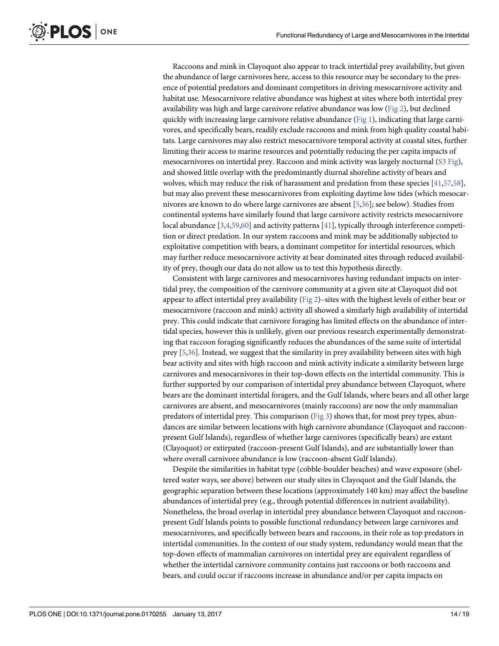<span id="page-14-0"></span>Raccoons and mink in Clayoquot also appear to track intertidal prey availability, but given the abundance of large carnivores here, access to this resource may be secondary to the presence of potential predators and dominant competitors in driving mesocarnivore activity and habitat use. Mesocarnivore relative abundance was highest at sites where both intertidal prey availability was high and large carnivore relative abundance was low ([Fig](#page-12-0) 2), but declined quickly with increasing large carnivore relative abundance [\(Fig](#page-11-0) 1), indicating that large carnivores, and specifically bears, readily exclude raccoons and mink from high quality coastal habitats. Large carnivores may also restrict mesocarnivore temporal activity at coastal sites, further limiting their access to marine resources and potentially reducing the per capita impacts of mesocarnivores on intertidal prey. Raccoon and mink activity was largely nocturnal (S3 [Fig](#page-16-0)), and showed little overlap with the predominantly diurnal shoreline activity of bears and wolves, which may reduce the risk of harassment and predation from these species [[41](#page-18-0)[,57,58\]](#page-19-0), but may also prevent these mesocarnivores from exploiting daytime low tides (which mesocarnivores are known to do where large carnivores are absent [[5](#page-17-0),[36](#page-18-0)]; see below). Studies from continental systems have similarly found that large carnivore activity restricts mesocarnivore local abundance [\[3,4](#page-17-0)[,59,60](#page-19-0)] and activity patterns [[41](#page-18-0)], typically through interference competition or direct predation. In our system raccoons and mink may be additionally subjected to exploitative competition with bears, a dominant competitor for intertidal resources, which may further reduce mesocarnivore activity at bear dominated sites through reduced availability of prey, though our data do not allow us to test this hypothesis directly.

Consistent with large carnivores and mesocarnivores having redundant impacts on intertidal prey, the composition of the carnivore community at a given site at Clayoquot did not appear to affect intertidal prey availability ([Fig](#page-12-0) 2)–sites with the highest levels of either bear or mesocarnivore (raccoon and mink) activity all showed a similarly high availability of intertidal prey. This could indicate that carnivore foraging has limited effects on the abundance of intertidal species, however this is unlikely, given our previous research experimentally demonstrating that raccoon foraging significantly reduces the abundances of the same suite of intertidal prey [\[5](#page-17-0)[,36\]](#page-18-0). Instead, we suggest that the similarity in prey availability between sites with high bear activity and sites with high raccoon and mink activity indicate a similarity between large carnivores and mesocarnivores in their top-down effects on the intertidal community. This is further supported by our comparison of intertidal prey abundance between Clayoquot, where bears are the dominant intertidal foragers, and the Gulf Islands, where bears and all other large carnivores are absent, and mesocarnivores (mainly raccoons) are now the only mammalian predators of intertidal prey. This comparison ([Fig](#page-13-0) 3) shows that, for most prey types, abundances are similar between locations with high carnivore abundance (Clayoquot and raccoonpresent Gulf Islands), regardless of whether large carnivores (specifically bears) are extant (Clayoquot) or extirpated (raccoon-present Gulf Islands), and are substantially lower than where overall carnivore abundance is low (raccoon-absent Gulf Islands).

Despite the similarities in habitat type (cobble-boulder beaches) and wave exposure (sheltered water ways, see above) between our study sites in Clayoquot and the Gulf Islands, the geographic separation between these locations (approximately 140 km) may affect the baseline abundances of intertidal prey (e.g., through potential differences in nutrient availability). Nonetheless, the broad overlap in intertidal prey abundance between Clayoquot and raccoonpresent Gulf Islands points to possible functional redundancy between large carnivores and mesocarnivores, and specifically between bears and raccoons, in their role as top predators in intertidal communities. In the context of our study system, redundancy would mean that the top-down effects of mammalian carnivores on intertidal prey are equivalent regardless of whether the intertidal carnivore community contains just raccoons or both raccoons and bears, and could occur if raccoons increase in abundance and/or per capita impacts on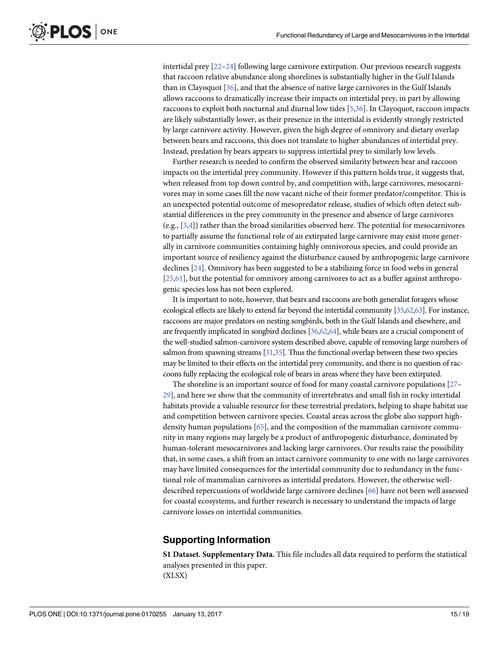<span id="page-15-0"></span>intertidal prey [\[22–](#page-17-0)[24](#page-18-0)] following large carnivore extirpation. Our previous research suggests that raccoon relative abundance along shorelines is substantially higher in the Gulf Islands than in Clayoquot [[36](#page-18-0)], and that the absence of native large carnivores in the Gulf Islands allows raccoons to dramatically increase their impacts on intertidal prey, in part by allowing raccoons to exploit both nocturnal and diurnal low tides [\[5,](#page-17-0)[36\]](#page-18-0). In Clayoquot, raccoon impacts are likely substantially lower, as their presence in the intertidal is evidently strongly restricted by large carnivore activity. However, given the high degree of omnivory and dietary overlap between bears and raccoons, this does not translate to higher abundances of intertidal prey. Instead, predation by bears appears to suppress intertidal prey to similarly low levels.

Further research is needed to confirm the observed similarity between bear and raccoon impacts on the intertidal prey community. However if this pattern holds true, it suggests that, when released from top down control by, and competition with, large carnivores, mesocarnivores may in some cases fill the now vacant niche of their former predator/competitor. This is an unexpected potential outcome of mesopredator release, studies of which often detect substantial differences in the prey community in the presence and absence of large carnivores (e.g., [[3](#page-17-0),[4](#page-17-0)]) rather than the broad similarities observed here. The potential for mesocarnivores to partially assume the functional role of an extirpated large carnivore may exist more generally in carnivore communities containing highly omnivorous species, and could provide an important source of resiliency against the disturbance caused by anthropogenic large carnivore declines [[24](#page-18-0)]. Omnivory has been suggested to be a stabilizing force in food webs in general [\[25](#page-18-0)[,61\]](#page-19-0), but the potential for omnivory among carnivores to act as a buffer against anthropogenic species loss has not been explored.

It is important to note, however, that bears and raccoons are both generalist foragers whose ecological effects are likely to extend far beyond the intertidal community [[35,](#page-18-0)[62,63](#page-19-0)]. For instance, raccoons are major predators on nesting songbirds, both in the Gulf Islands and elsewhere, and are frequently implicated in songbird declines [\[36](#page-18-0)[,62,64\]](#page-19-0), while bears are a crucial component of the well-studied salmon-carnivore system described above, capable of removing large numbers of salmon from spawning streams [\[31,35\]](#page-18-0). Thus the functional overlap between these two species may be limited to their effects on the intertidal prey community, and there is no question of raccoons fully replacing the ecological role of bears in areas where they have been extirpated.

The shoreline is an important source of food for many coastal carnivore populations [\[27–](#page-18-0) [29\]](#page-18-0), and here we show that the community of invertebrates and small fish in rocky intertidal habitats provide a valuable resource for these terrestrial predators, helping to shape habitat use and competition between carnivore species. Coastal areas across the globe also support highdensity human populations [[65](#page-19-0)], and the composition of the mammalian carnivore community in many regions may largely be a product of anthropogenic disturbance, dominated by human-tolerant mesocarnivores and lacking large carnivores. Our results raise the possibility that, in some cases, a shift from an intact carnivore community to one with no large carnivores may have limited consequences for the intertidal community due to redundancy in the functional role of mammalian carnivores as intertidal predators. However, the otherwise welldescribed repercussions of worldwide large carnivore declines [[66](#page-19-0)] have not been well assessed for coastal ecosystems, and further research is necessary to understand the impacts of large carnivore losses on intertidal communities.

# **Supporting Information**

**S1 [Dataset.](http://www.plosone.org/article/fetchSingleRepresentation.action?uri=info:doi/10.1371/journal.pone.0170255.s001) Supplementary Data.** This file includes all data required to perform the statistical analyses presented in this paper. (XLSX)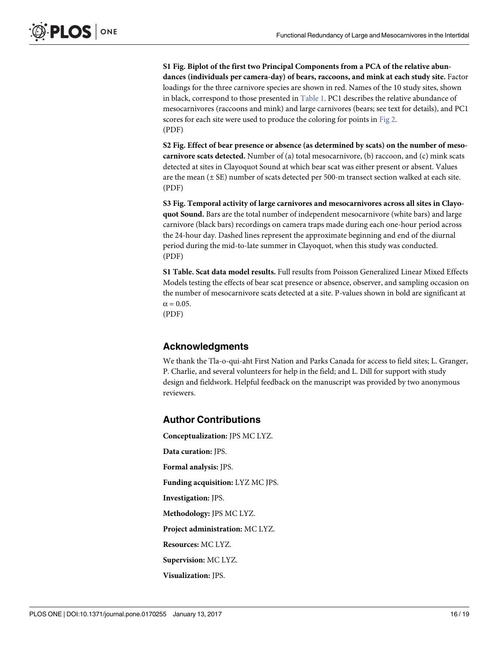<span id="page-16-0"></span>**S1 [Fig](http://www.plosone.org/article/fetchSingleRepresentation.action?uri=info:doi/10.1371/journal.pone.0170255.s002). Biplot of the first two Principal Components from a PCA of the relative abundances (individuals per camera-day) of bears, raccoons, and mink at each study site.** Factor loadings for the three carnivore species are shown in red. Names of the 10 study sites, shown in black, correspond to those presented in [Table](#page-5-0) 1. PC1 describes the relative abundance of mesocarnivores (raccoons and mink) and large carnivores (bears; see text for details), and PC1 scores for each site were used to produce the coloring for points in [Fig](#page-12-0) 2. (PDF)

**S2 [Fig](http://www.plosone.org/article/fetchSingleRepresentation.action?uri=info:doi/10.1371/journal.pone.0170255.s003). Effect of bear presence or absence (as determined by scats) on the number of mesocarnivore scats detected.** Number of (a) total mesocarnivore, (b) raccoon, and (c) mink scats detected at sites in Clayoquot Sound at which bear scat was either present or absent. Values are the mean (± SE) number of scats detected per 500-m transect section walked at each site. (PDF)

**S3 [Fig](http://www.plosone.org/article/fetchSingleRepresentation.action?uri=info:doi/10.1371/journal.pone.0170255.s004). Temporal activity of large carnivores and mesocarnivores across all sites in Clayoquot Sound.** Bars are the total number of independent mesocarnivore (white bars) and large carnivore (black bars) recordings on camera traps made during each one-hour period across the 24-hour day. Dashed lines represent the approximate beginning and end of the diurnal period during the mid-to-late summer in Clayoquot, when this study was conducted. (PDF)

**S1 [Table.](http://www.plosone.org/article/fetchSingleRepresentation.action?uri=info:doi/10.1371/journal.pone.0170255.s005) Scat data model results.** Full results from Poisson Generalized Linear Mixed Effects Models testing the effects of bear scat presence or absence, observer, and sampling occasion on the number of mesocarnivore scats detected at a site. P-values shown in bold are significant at  $\alpha = 0.05$ .

(PDF)

# **Acknowledgments**

We thank the Tla-o-qui-aht First Nation and Parks Canada for access to field sites; L. Granger, P. Charlie, and several volunteers for help in the field; and L. Dill for support with study design and fieldwork. Helpful feedback on the manuscript was provided by two anonymous reviewers.

#### **Author Contributions**

**Conceptualization:** JPS MC LYZ. **Data curation:** JPS. **Formal analysis:** JPS. **Funding acquisition:** LYZ MC JPS. **Investigation:** JPS. **Methodology:** JPS MC LYZ. **Project administration:** MC LYZ. **Resources:** MC LYZ. **Supervision:** MC LYZ. **Visualization:** JPS.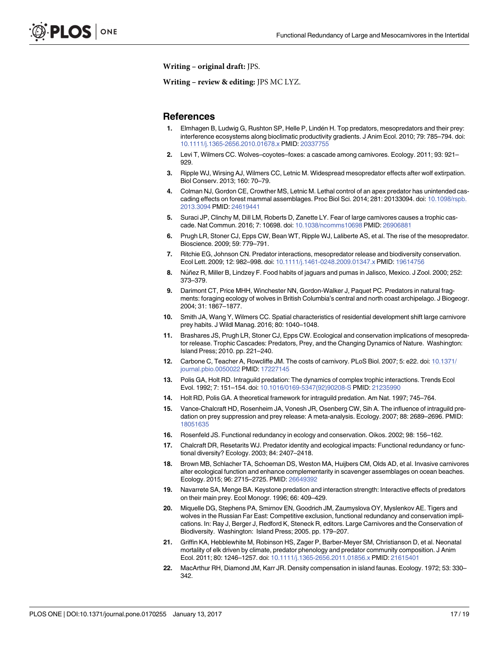<span id="page-17-0"></span>**Writing – original draft:** JPS.

**Writing – review & editing:** JPS MC LYZ.

#### **References**

- **[1](#page-2-0).** Elmhagen B, Ludwig G, Rushton SP, Helle P, Lindén H. Top predators, mesopredators and their prey: interference ecosystems along bioclimatic productivity gradients. J Anim Ecol. 2010; 79: 785–794. doi: [10.1111/j.1365-2656.2010.01678.x](http://dx.doi.org/10.1111/j.1365-2656.2010.01678.x) PMID: [20337755](http://www.ncbi.nlm.nih.gov/pubmed/20337755)
- **2.** Levi T, Wilmers CC. Wolves–coyotes–foxes: a cascade among carnivores. Ecology. 2011; 93: 921– 929.
- **[3](#page-2-0).** Ripple WJ, Wirsing AJ, Wilmers CC, Letnic M. Widespread mesopredator effects after wolf extirpation. Biol Conserv. 2013; 160: 70–79.
- **[4](#page-2-0).** Colman NJ, Gordon CE, Crowther MS, Letnic M. Lethal control of an apex predator has unintended cascading effects on forest mammal assemblages. Proc Biol Sci. 2014; 281: 20133094. doi: [10.1098/rspb.](http://dx.doi.org/10.1098/rspb.2013.3094) [2013.3094](http://dx.doi.org/10.1098/rspb.2013.3094) PMID: [24619441](http://www.ncbi.nlm.nih.gov/pubmed/24619441)
- **[5](#page-2-0).** Suraci JP, Clinchy M, Dill LM, Roberts D, Zanette LY. Fear of large carnivores causes a trophic cascade. Nat Commun. 2016; 7: 10698. doi: [10.1038/ncomms10698](http://dx.doi.org/10.1038/ncomms10698) PMID: [26906881](http://www.ncbi.nlm.nih.gov/pubmed/26906881)
- **[6](#page-2-0).** Prugh LR, Stoner CJ, Epps CW, Bean WT, Ripple WJ, Laliberte AS, et al. The rise of the mesopredator. Bioscience. 2009; 59: 779–791.
- **[7](#page-2-0).** Ritchie EG, Johnson CN. Predator interactions, mesopredator release and biodiversity conservation. Ecol Lett. 2009; 12: 982–998. doi: [10.1111/j.1461-0248.2009.01347.x](http://dx.doi.org/10.1111/j.1461-0248.2009.01347.x) PMID: [19614756](http://www.ncbi.nlm.nih.gov/pubmed/19614756)
- **[8](#page-2-0).** Nu´ñez R, Miller B, Lindzey F. Food habits of jaguars and pumas in Jalisco, Mexico. J Zool. 2000; 252: 373–379.
- **[9](#page-2-0).** Darimont CT, Price MHH, Winchester NN, Gordon-Walker J, Paquet PC. Predators in natural fragments: foraging ecology of wolves in British Columbia's central and north coast archipelago. J Biogeogr. 2004; 31: 1867–1877.
- **[10](#page-2-0).** Smith JA, Wang Y, Wilmers CC. Spatial characteristics of residential development shift large carnivore prey habits. J Wildl Manag. 2016; 80: 1040–1048.
- **[11](#page-2-0).** Brashares JS, Prugh LR, Stoner CJ, Epps CW. Ecological and conservation implications of mesopredator release. Trophic Cascades: Predators, Prey, and the Changing Dynamics of Nature. Washington: Island Press; 2010. pp. 221–240.
- **[12](#page-2-0).** Carbone C, Teacher A, Rowcliffe JM. The costs of carnivory. PLoS Biol. 2007; 5: e22. doi: [10.1371/](http://dx.doi.org/10.1371/journal.pbio.0050022) [journal.pbio.0050022](http://dx.doi.org/10.1371/journal.pbio.0050022) PMID: [17227145](http://www.ncbi.nlm.nih.gov/pubmed/17227145)
- **[13](#page-2-0).** Polis GA, Holt RD. Intraguild predation: The dynamics of complex trophic interactions. Trends Ecol Evol. 1992; 7: 151–154. doi: [10.1016/0169-5347\(92\)90208-S](http://dx.doi.org/10.1016/0169-5347(92)90208-S) PMID: [21235990](http://www.ncbi.nlm.nih.gov/pubmed/21235990)
- **14.** Holt RD, Polis GA. A theoretical framework for intraguild predation. Am Nat. 1997; 745–764.
- **[15](#page-2-0).** Vance-Chalcraft HD, Rosenheim JA, Vonesh JR, Osenberg CW, Sih A. The influence of intraguild predation on prey suppression and prey release: A meta-analysis. Ecology. 2007; 88: 2689–2696. PMID: [18051635](http://www.ncbi.nlm.nih.gov/pubmed/18051635)
- **[16](#page-2-0).** Rosenfeld JS. Functional redundancy in ecology and conservation. Oikos. 2002; 98: 156–162.
- **17.** Chalcraft DR, Resetarits WJ. Predator identity and ecological impacts: Functional redundancy or functional diversity? Ecology. 2003; 84: 2407–2418.
- **[18](#page-2-0).** Brown MB, Schlacher TA, Schoeman DS, Weston MA, Huijbers CM, Olds AD, et al. Invasive carnivores alter ecological function and enhance complementarity in scavenger assemblages on ocean beaches. Ecology. 2015; 96: 2715–2725. PMID: [26649392](http://www.ncbi.nlm.nih.gov/pubmed/26649392)
- **[19](#page-2-0).** Navarrete SA, Menge BA. Keystone predation and interaction strength: Interactive effects of predators on their main prey. Ecol Monogr. 1996; 66: 409–429.
- **[20](#page-2-0).** Miquelle DG, Stephens PA, Smirnov EN, Goodrich JM, Zaumyslova OY, Myslenkov AE. Tigers and wolves in the Russian Far East: Competitive exclusion, functional redundancy and conservation implications. In: Ray J, Berger J, Redford K, Steneck R, editors. Large Carnivores and the Conservation of Biodiversity. Washington: Island Press; 2005. pp. 179–207.
- **[21](#page-2-0).** Griffin KA, Hebblewhite M, Robinson HS, Zager P, Barber-Meyer SM, Christianson D, et al. Neonatal mortality of elk driven by climate, predator phenology and predator community composition. J Anim Ecol. 2011; 80: 1246–1257. doi: [10.1111/j.1365-2656.2011.01856.x](http://dx.doi.org/10.1111/j.1365-2656.2011.01856.x) PMID: [21615401](http://www.ncbi.nlm.nih.gov/pubmed/21615401)
- **[22](#page-2-0).** MacArthur RH, Diamond JM, Karr JR. Density compensation in island faunas. Ecology. 1972; 53: 330– 342.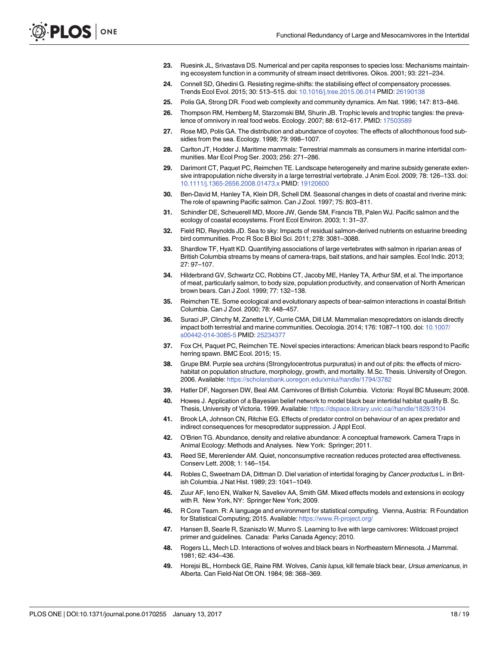- <span id="page-18-0"></span>**23.** Ruesink JL, Srivastava DS. Numerical and per capita responses to species loss: Mechanisms maintaining ecosystem function in a community of stream insect detritivores. Oikos. 2001; 93: 221–234.
- **[24](#page-2-0).** Connell SD, Ghedini G. Resisting regime-shifts: the stabilising effect of compensatory processes. Trends Ecol Evol. 2015; 30: 513–515. doi: [10.1016/j.tree.2015.06.014](http://dx.doi.org/10.1016/j.tree.2015.06.014) PMID: [26190138](http://www.ncbi.nlm.nih.gov/pubmed/26190138)
- **[25](#page-2-0).** Polis GA, Strong DR. Food web complexity and community dynamics. Am Nat. 1996; 147: 813–846.
- **[26](#page-2-0).** Thompson RM, Hemberg M, Starzomski BM, Shurin JB. Trophic levels and trophic tangles: the prevalence of omnivory in real food webs. Ecology. 2007; 88: 612–617. PMID: [17503589](http://www.ncbi.nlm.nih.gov/pubmed/17503589)
- **[27](#page-2-0).** Rose MD, Polis GA. The distribution and abundance of coyotes: The effects of allochthonous food subsidies from the sea. Ecology. 1998; 79: 998–1007.
- **[28](#page-2-0).** Carlton JT, Hodder J. Maritime mammals: Terrestrial mammals as consumers in marine intertidal communities. Mar Ecol Prog Ser. 2003; 256: 271–286.
- **[29](#page-2-0).** Darimont CT, Paquet PC, Reimchen TE. Landscape heterogeneity and marine subsidy generate extensive intrapopulation niche diversity in a large terrestrial vertebrate. J Anim Ecol. 2009; 78: 126–133. doi: [10.1111/j.1365-2656.2008.01473.x](http://dx.doi.org/10.1111/j.1365-2656.2008.01473.x) PMID: [19120600](http://www.ncbi.nlm.nih.gov/pubmed/19120600)
- **[30](#page-2-0).** Ben-David M, Hanley TA, Klein DR, Schell DM. Seasonal changes in diets of coastal and riverine mink: The role of spawning Pacific salmon. Can J Zool. 1997; 75: 803–811.
- **[31](#page-2-0).** Schindler DE, Scheuerell MD, Moore JW, Gende SM, Francis TB, Palen WJ. Pacific salmon and the ecology of coastal ecosystems. Front Ecol Environ. 2003; 1: 31–37.
- **[32](#page-2-0).** Field RD, Reynolds JD. Sea to sky: Impacts of residual salmon-derived nutrients on estuarine breeding bird communities. Proc R Soc B Biol Sci. 2011; 278: 3081–3088.
- **[33](#page-2-0).** Shardlow TF, Hyatt KD. Quantifying associations of large vertebrates with salmon in riparian areas of British Columbia streams by means of camera-traps, bait stations, and hair samples. Ecol Indic. 2013; 27: 97–107.
- **34.** Hilderbrand GV, Schwartz CC, Robbins CT, Jacoby ME, Hanley TA, Arthur SM, et al. The importance of meat, particularly salmon, to body size, population productivity, and conservation of North American brown bears. Can J Zool. 1999; 77: 132–138.
- **[35](#page-2-0).** Reimchen TE. Some ecological and evolutionary aspects of bear-salmon interactions in coastal British Columbia. Can J Zool. 2000; 78: 448–457.
- **[36](#page-2-0).** Suraci JP, Clinchy M, Zanette LY, Currie CMA, Dill LM. Mammalian mesopredators on islands directly impact both terrestrial and marine communities. Oecologia. 2014; 176: 1087–1100. doi: [10.1007/](http://dx.doi.org/10.1007/s00442-014-3085-5) [s00442-014-3085-5](http://dx.doi.org/10.1007/s00442-014-3085-5) PMID: [25234377](http://www.ncbi.nlm.nih.gov/pubmed/25234377)
- **[37](#page-6-0).** Fox CH, Paquet PC, Reimchen TE. Novel species interactions: American black bears respond to Pacific herring spawn. BMC Ecol. 2015; 15.
- **[38](#page-2-0).** Grupe BM. Purple sea urchins (Strongylocentrotus purpuratus) in and out of pits: the effects of microhabitat on population structure, morphology, growth, and mortality. M.Sc. Thesis. University of Oregon. 2006. Available: <https://scholarsbank.uoregon.edu/xmlui/handle/1794/3782>
- **[39](#page-3-0).** Hatler DF, Nagorsen DW, Beal AM. Carnivores of British Columbia. Victoria: Royal BC Museum; 2008.
- **[40](#page-3-0).** Howes J. Application of a Bayesian belief network to model black bear intertidal habitat quality B. Sc. Thesis, University of Victoria. 1999. Available: <https://dspace.library.uvic.ca//handle/1828/3104>
- **[41](#page-4-0).** Brook LA, Johnson CN, Ritchie EG. Effects of predator control on behaviour of an apex predator and indirect consequences for mesopredator suppression. J Appl Ecol.
- **[42](#page-4-0).** O'Brien TG. Abundance, density and relative abundance: A conceptual framework. Camera Traps in Animal Ecology: Methods and Analyses. New York: Springer; 2011.
- **[43](#page-4-0).** Reed SE, Merenlender AM. Quiet, nonconsumptive recreation reduces protected area effectiveness. Conserv Lett. 2008; 1: 146–154.
- **[44](#page-6-0).** Robles C, Sweetnam DA, Dittman D. Diel variation of intertidal foraging by Cancer productus L. in British Columbia. J Nat Hist. 1989; 23: 1041–1049.
- **[45](#page-6-0).** Zuur AF, Ieno EN, Walker N, Saveliev AA, Smith GM. Mixed effects models and extensions in ecology with R. New York, NY: Springer New York; 2009.
- **[46](#page-6-0).** R Core Team. R: A language and environment for statistical computing. Vienna, Austria: R Foundation for Statistical Computing; 2015. Available: <https://www.R-project.org/>
- **[47](#page-6-0).** Hansen B, Searle R, Szaniszlo W, Munro S. Learning to live with large carnivores: Wildcoast project primer and guidelines. Canada: Parks Canada Agency; 2010.
- **[48](#page-6-0).** Rogers LL, Mech LD. Interactions of wolves and black bears in Northeastern Minnesota. J Mammal. 1981; 62: 434–436.
- **49.** Horejsi BL, Hornbeck GE, Raine RM. Wolves, Canis lupus, kill female black bear, Ursus americanus, in Alberta. Can Field-Nat Ott ON. 1984; 98: 368–369.